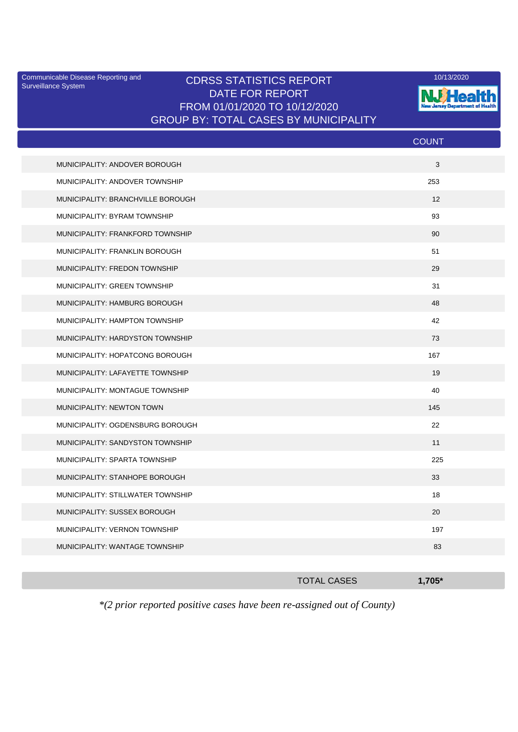Surveillance System

## Communicable Disease Reporting and CDRSS STATISTICS REPORT 10/13/2020<br>Surveillance System CDRSS STATISTICS REPORT DATE FOR REPORT FROM 01/01/2020 TO 10/12/2020 GROUP BY: TOTAL CASES BY MUNICIPALITY



|                                   | <b>COUNT</b> |
|-----------------------------------|--------------|
| MUNICIPALITY: ANDOVER BOROUGH     | 3            |
| MUNICIPALITY: ANDOVER TOWNSHIP    | 253          |
| MUNICIPALITY: BRANCHVILLE BOROUGH | 12           |
| MUNICIPALITY: BYRAM TOWNSHIP      | 93           |
| MUNICIPALITY: FRANKFORD TOWNSHIP  | 90           |
| MUNICIPALITY: FRANKLIN BOROUGH    | 51           |
| MUNICIPALITY: FREDON TOWNSHIP     | 29           |
| MUNICIPALITY: GREEN TOWNSHIP      | 31           |
| MUNICIPALITY: HAMBURG BOROUGH     | 48           |
| MUNICIPALITY: HAMPTON TOWNSHIP    | 42           |
| MUNICIPALITY: HARDYSTON TOWNSHIP  | 73           |
| MUNICIPALITY: HOPATCONG BOROUGH   | 167          |
| MUNICIPALITY: LAFAYETTE TOWNSHIP  | 19           |
| MUNICIPALITY: MONTAGUE TOWNSHIP   | 40           |
| MUNICIPALITY: NEWTON TOWN         | 145          |
| MUNICIPALITY: OGDENSBURG BOROUGH  | 22           |
| MUNICIPALITY: SANDYSTON TOWNSHIP  | 11           |
| MUNICIPALITY: SPARTA TOWNSHIP     | 225          |
| MUNICIPALITY: STANHOPE BOROUGH    | 33           |
| MUNICIPALITY: STILLWATER TOWNSHIP | 18           |
| MUNICIPALITY: SUSSEX BOROUGH      | 20           |
| MUNICIPALITY: VERNON TOWNSHIP     | 197          |
| MUNICIPALITY: WANTAGE TOWNSHIP    | 83           |
|                                   |              |

| <b>TOTAL CASES</b> | $,705*$ |
|--------------------|---------|
|                    |         |

*\*(2 prior reported positive cases have been re-assigned out of County)*